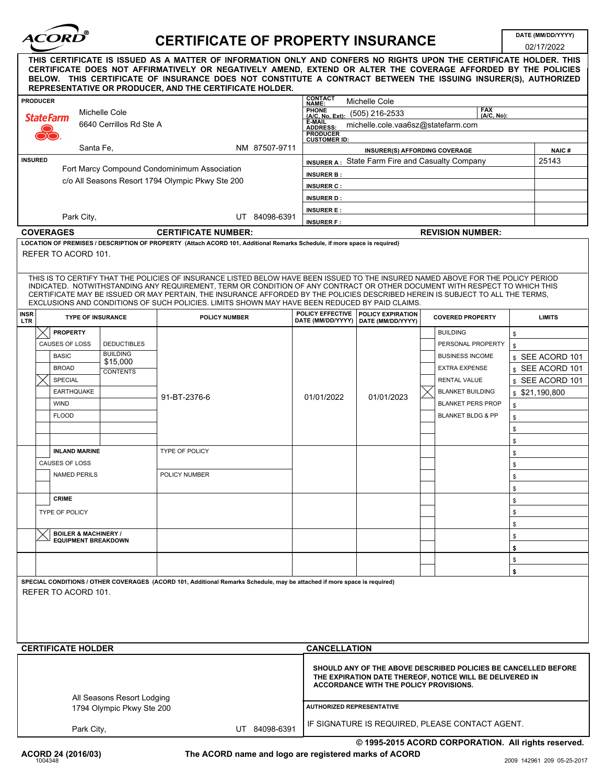| <i><b>ACORD</b></i><br><b>CERTIFICATE OF PROPERTY INSURANCE</b>                                                                                                                                                                                                                                                                                                                                                                                                                                    |                     |                                               |                                                  |                                                                                                                           |                                       |                                                                                                                                                                      |                              |          | DATE (MM/DD/YYYY)<br>02/17/2022 |  |  |
|----------------------------------------------------------------------------------------------------------------------------------------------------------------------------------------------------------------------------------------------------------------------------------------------------------------------------------------------------------------------------------------------------------------------------------------------------------------------------------------------------|---------------------|-----------------------------------------------|--------------------------------------------------|---------------------------------------------------------------------------------------------------------------------------|---------------------------------------|----------------------------------------------------------------------------------------------------------------------------------------------------------------------|------------------------------|----------|---------------------------------|--|--|
| THIS CERTIFICATE IS ISSUED AS A MATTER OF INFORMATION ONLY AND CONFERS NO RIGHTS UPON THE CERTIFICATE HOLDER. THIS<br>CERTIFICATE DOES NOT AFFIRMATIVELY OR NEGATIVELY AMEND, EXTEND OR ALTER THE COVERAGE AFFORDED BY THE POLICIES<br>BELOW. THIS CERTIFICATE OF INSURANCE DOES NOT CONSTITUTE A CONTRACT BETWEEN THE ISSUING INSURER(S), AUTHORIZED<br>REPRESENTATIVE OR PRODUCER, AND THE CERTIFICATE HOLDER.                                                                                   |                     |                                               |                                                  |                                                                                                                           |                                       |                                                                                                                                                                      |                              |          |                                 |  |  |
|                                                                                                                                                                                                                                                                                                                                                                                                                                                                                                    | <b>PRODUCER</b>     |                                               |                                                  |                                                                                                                           | <b>CONTACT</b><br>NAME:               | Michelle Cole                                                                                                                                                        |                              |          |                                 |  |  |
| Michelle Cole<br><b>StateFarm</b>                                                                                                                                                                                                                                                                                                                                                                                                                                                                  |                     |                                               |                                                  |                                                                                                                           | <b>PHONE</b>                          | FAX<br>(A/C, No):<br>FRUNE (505) 216-2533                                                                                                                            |                              |          |                                 |  |  |
| 6640 Cerrillos Rd Ste A                                                                                                                                                                                                                                                                                                                                                                                                                                                                            |                     |                                               |                                                  |                                                                                                                           | <b>ADDRESS</b>                        | E-MAIL<br>michelle.cole.vaa6sz@statefarm.com                                                                                                                         |                              |          |                                 |  |  |
|                                                                                                                                                                                                                                                                                                                                                                                                                                                                                                    |                     |                                               |                                                  |                                                                                                                           |                                       | <b>PRODUCER</b><br><b>CUSTOMER ID:</b>                                                                                                                               |                              |          |                                 |  |  |
|                                                                                                                                                                                                                                                                                                                                                                                                                                                                                                    |                     |                                               | NM 87507-9711<br>Santa Fe,                       |                                                                                                                           |                                       | INSURER(S) AFFORDING COVERAGE                                                                                                                                        |                              |          |                                 |  |  |
|                                                                                                                                                                                                                                                                                                                                                                                                                                                                                                    | <b>INSURED</b>      |                                               | Fort Marcy Compound Condominimum Association     |                                                                                                                           |                                       | INSURER A: State Farm Fire and Casualty Company                                                                                                                      |                              |          |                                 |  |  |
|                                                                                                                                                                                                                                                                                                                                                                                                                                                                                                    |                     |                                               | c/o All Seasons Resort 1794 Olympic Pkwy Ste 200 |                                                                                                                           |                                       | <b>INSURER B:</b>                                                                                                                                                    |                              |          |                                 |  |  |
|                                                                                                                                                                                                                                                                                                                                                                                                                                                                                                    |                     |                                               |                                                  |                                                                                                                           |                                       | <b>INSURER C:</b>                                                                                                                                                    |                              |          |                                 |  |  |
|                                                                                                                                                                                                                                                                                                                                                                                                                                                                                                    |                     |                                               |                                                  |                                                                                                                           |                                       | <b>INSURER D:</b><br><b>INSURER E:</b>                                                                                                                               |                              |          |                                 |  |  |
|                                                                                                                                                                                                                                                                                                                                                                                                                                                                                                    |                     | Park City,                                    |                                                  | UT 84098-6391                                                                                                             | <b>INSURER F:</b>                     |                                                                                                                                                                      |                              |          |                                 |  |  |
|                                                                                                                                                                                                                                                                                                                                                                                                                                                                                                    |                     | <b>COVERAGES</b>                              |                                                  | <b>CERTIFICATE NUMBER:</b>                                                                                                |                                       | <b>REVISION NUMBER:</b>                                                                                                                                              |                              |          |                                 |  |  |
|                                                                                                                                                                                                                                                                                                                                                                                                                                                                                                    |                     |                                               |                                                  | LOCATION OF PREMISES / DESCRIPTION OF PROPERTY (Attach ACORD 101, Additional Remarks Schedule, if more space is required) |                                       |                                                                                                                                                                      |                              |          |                                 |  |  |
|                                                                                                                                                                                                                                                                                                                                                                                                                                                                                                    |                     | REFER TO ACORD 101.                           |                                                  |                                                                                                                           |                                       |                                                                                                                                                                      |                              |          |                                 |  |  |
| THIS IS TO CERTIFY THAT THE POLICIES OF INSURANCE LISTED BELOW HAVE BEEN ISSUED TO THE INSURED NAMED ABOVE FOR THE POLICY PERIOD<br>INDICATED. NOTWITHSTANDING ANY REQUIREMENT, TERM OR CONDITION OF ANY CONTRACT OR OTHER DOCUMENT WITH RESPECT TO WHICH THIS<br>CERTIFICATE MAY BE ISSUED OR MAY PERTAIN, THE INSURANCE AFFORDED BY THE POLICIES DESCRIBED HEREIN IS SUBJECT TO ALL THE TERMS,<br>EXCLUSIONS AND CONDITIONS OF SUCH POLICIES. LIMITS SHOWN MAY HAVE BEEN REDUCED BY PAID CLAIMS. |                     |                                               |                                                  |                                                                                                                           |                                       |                                                                                                                                                                      |                              |          |                                 |  |  |
| <b>INSR</b><br><b>LTR</b>                                                                                                                                                                                                                                                                                                                                                                                                                                                                          |                     |                                               | <b>TYPE OF INSURANCE</b>                         | <b>POLICY NUMBER</b>                                                                                                      | POLICY EFFECTIVE<br>DATE (MM/DD/YYYY) | POLICY EXPIRATION<br>DATE (MM/DD/YYYY)                                                                                                                               | <b>COVERED PROPERTY</b>      |          | <b>LIMITS</b>                   |  |  |
|                                                                                                                                                                                                                                                                                                                                                                                                                                                                                                    |                     | <b>PROPERTY</b>                               |                                                  |                                                                                                                           |                                       |                                                                                                                                                                      | <b>BUILDING</b>              | \$       |                                 |  |  |
|                                                                                                                                                                                                                                                                                                                                                                                                                                                                                                    |                     | <b>CAUSES OF LOSS</b>                         | <b>DEDUCTIBLES</b>                               |                                                                                                                           |                                       |                                                                                                                                                                      | PERSONAL PROPERTY            | \$       |                                 |  |  |
|                                                                                                                                                                                                                                                                                                                                                                                                                                                                                                    |                     | <b>BASIC</b>                                  | <b>BUILDING</b>                                  |                                                                                                                           |                                       |                                                                                                                                                                      | <b>BUSINESS INCOME</b>       |          | s SEE ACORD 101                 |  |  |
|                                                                                                                                                                                                                                                                                                                                                                                                                                                                                                    |                     | <b>BROAD</b>                                  | \$15,000<br><b>CONTENTS</b>                      |                                                                                                                           |                                       |                                                                                                                                                                      | <b>EXTRA EXPENSE</b>         |          | \$ SEE ACORD 101                |  |  |
|                                                                                                                                                                                                                                                                                                                                                                                                                                                                                                    |                     | <b>SPECIAL</b>                                |                                                  |                                                                                                                           |                                       |                                                                                                                                                                      | <b>RENTAL VALUE</b>          |          | \$ SEE ACORD 101                |  |  |
|                                                                                                                                                                                                                                                                                                                                                                                                                                                                                                    |                     | <b>EARTHQUAKE</b>                             |                                                  | 91-BT-2376-6                                                                                                              | 01/01/2022                            | 01/01/2023                                                                                                                                                           | <b>BLANKET BUILDING</b>      |          | \$21,190,800                    |  |  |
|                                                                                                                                                                                                                                                                                                                                                                                                                                                                                                    |                     | <b>WIND</b>                                   |                                                  |                                                                                                                           |                                       |                                                                                                                                                                      | <b>BLANKET PERS PROP</b>     | \$       |                                 |  |  |
|                                                                                                                                                                                                                                                                                                                                                                                                                                                                                                    |                     | <b>FLOOD</b>                                  |                                                  |                                                                                                                           |                                       |                                                                                                                                                                      | <b>BLANKET BLDG &amp; PP</b> | \$       |                                 |  |  |
|                                                                                                                                                                                                                                                                                                                                                                                                                                                                                                    |                     |                                               |                                                  |                                                                                                                           |                                       |                                                                                                                                                                      |                              | \$       |                                 |  |  |
|                                                                                                                                                                                                                                                                                                                                                                                                                                                                                                    |                     |                                               |                                                  | <b>TYPE OF POLICY</b>                                                                                                     |                                       |                                                                                                                                                                      |                              | \$       |                                 |  |  |
|                                                                                                                                                                                                                                                                                                                                                                                                                                                                                                    |                     | <b>INLAND MARINE</b><br><b>CAUSES OF LOSS</b> |                                                  |                                                                                                                           |                                       |                                                                                                                                                                      |                              | \$       |                                 |  |  |
|                                                                                                                                                                                                                                                                                                                                                                                                                                                                                                    | <b>NAMED PERILS</b> |                                               |                                                  | POLICY NUMBER                                                                                                             |                                       |                                                                                                                                                                      |                              | \$       |                                 |  |  |
|                                                                                                                                                                                                                                                                                                                                                                                                                                                                                                    |                     |                                               |                                                  |                                                                                                                           |                                       |                                                                                                                                                                      |                              | \$<br>\$ |                                 |  |  |
|                                                                                                                                                                                                                                                                                                                                                                                                                                                                                                    |                     | <b>CRIME</b>                                  |                                                  |                                                                                                                           |                                       |                                                                                                                                                                      |                              | \$       |                                 |  |  |
|                                                                                                                                                                                                                                                                                                                                                                                                                                                                                                    |                     | TYPE OF POLICY                                |                                                  |                                                                                                                           |                                       |                                                                                                                                                                      |                              | \$       |                                 |  |  |
|                                                                                                                                                                                                                                                                                                                                                                                                                                                                                                    |                     |                                               |                                                  |                                                                                                                           |                                       |                                                                                                                                                                      |                              | \$       |                                 |  |  |
|                                                                                                                                                                                                                                                                                                                                                                                                                                                                                                    |                     | <b>BOILER &amp; MACHINERY /</b>               | <b>EQUIPMENT BREAKDOWN</b>                       |                                                                                                                           |                                       |                                                                                                                                                                      |                              | \$       |                                 |  |  |
|                                                                                                                                                                                                                                                                                                                                                                                                                                                                                                    |                     |                                               |                                                  |                                                                                                                           |                                       |                                                                                                                                                                      |                              | \$       |                                 |  |  |
|                                                                                                                                                                                                                                                                                                                                                                                                                                                                                                    |                     |                                               |                                                  |                                                                                                                           |                                       |                                                                                                                                                                      |                              | \$       |                                 |  |  |
|                                                                                                                                                                                                                                                                                                                                                                                                                                                                                                    |                     |                                               |                                                  |                                                                                                                           |                                       |                                                                                                                                                                      |                              | \$       |                                 |  |  |
|                                                                                                                                                                                                                                                                                                                                                                                                                                                                                                    |                     | REFER TO ACORD 101.                           |                                                  | SPECIAL CONDITIONS / OTHER COVERAGES (ACORD 101, Additional Remarks Schedule, may be attached if more space is required)  |                                       |                                                                                                                                                                      |                              |          |                                 |  |  |
|                                                                                                                                                                                                                                                                                                                                                                                                                                                                                                    |                     |                                               |                                                  |                                                                                                                           |                                       |                                                                                                                                                                      |                              |          |                                 |  |  |
|                                                                                                                                                                                                                                                                                                                                                                                                                                                                                                    |                     |                                               |                                                  |                                                                                                                           |                                       |                                                                                                                                                                      |                              |          |                                 |  |  |
|                                                                                                                                                                                                                                                                                                                                                                                                                                                                                                    |                     |                                               |                                                  |                                                                                                                           |                                       |                                                                                                                                                                      |                              |          |                                 |  |  |
|                                                                                                                                                                                                                                                                                                                                                                                                                                                                                                    |                     |                                               |                                                  |                                                                                                                           |                                       |                                                                                                                                                                      |                              |          |                                 |  |  |
|                                                                                                                                                                                                                                                                                                                                                                                                                                                                                                    |                     | <b>CERTIFICATE HOLDER</b>                     |                                                  |                                                                                                                           |                                       | <b>CANCELLATION</b>                                                                                                                                                  |                              |          |                                 |  |  |
|                                                                                                                                                                                                                                                                                                                                                                                                                                                                                                    |                     |                                               | All Seasons Resort Lodging                       |                                                                                                                           |                                       | SHOULD ANY OF THE ABOVE DESCRIBED POLICIES BE CANCELLED BEFORE<br>THE EXPIRATION DATE THEREOF, NOTICE WILL BE DELIVERED IN<br>ACCORDANCE WITH THE POLICY PROVISIONS. |                              |          |                                 |  |  |
|                                                                                                                                                                                                                                                                                                                                                                                                                                                                                                    |                     |                                               | 1794 Olympic Pkwy Ste 200                        |                                                                                                                           |                                       | <b>AUTHORIZED REPRESENTATIVE</b>                                                                                                                                     |                              |          |                                 |  |  |
|                                                                                                                                                                                                                                                                                                                                                                                                                                                                                                    |                     |                                               |                                                  |                                                                                                                           |                                       |                                                                                                                                                                      |                              |          |                                 |  |  |
|                                                                                                                                                                                                                                                                                                                                                                                                                                                                                                    |                     | Park City,                                    |                                                  | UT 84098-6391                                                                                                             |                                       | IF SIGNATURE IS REQUIRED, PLEASE CONTACT AGENT.                                                                                                                      |                              |          |                                 |  |  |

**© 1995-2015 ACORD CORPORATION. All rights reserved.**